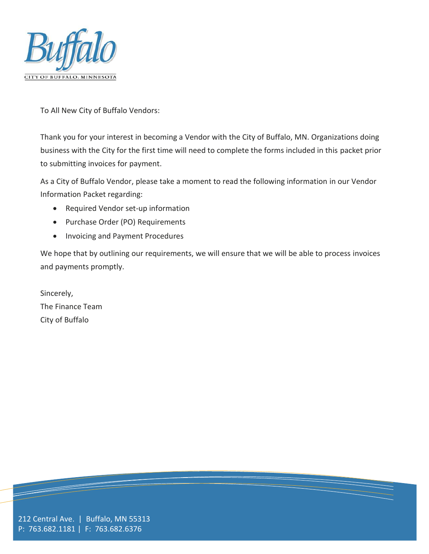

To All New City of Buffalo Vendors:

Thank you for your interest in becoming a Vendor with the City of Buffalo, MN. Organizations doing business with the City for the first time will need to complete the forms included in this packet prior to submitting invoices for payment.

As a City of Buffalo Vendor, please take a moment to read the following information in our Vendor Information Packet regarding:

- Required Vendor set-up information
- Purchase Order (PO) Requirements
- Invoicing and Payment Procedures

We hope that by outlining our requirements, we will ensure that we will be able to process invoices and payments promptly.

Sincerely, The Finance Team City of Buffalo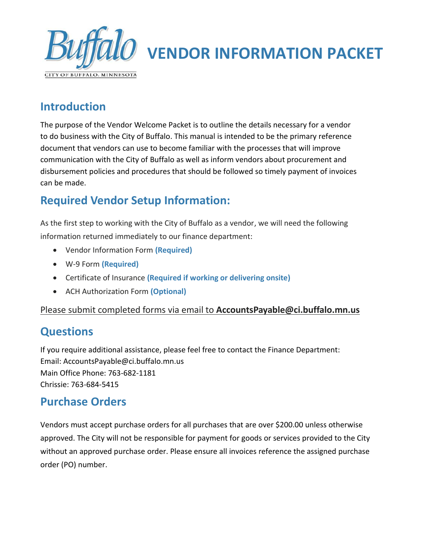

## **VENDOR INFORMATION PACKET**

## **Introduction**

The purpose of the Vendor Welcome Packet is to outline the details necessary for a vendor to do business with the City of Buffalo. This manual is intended to be the primary reference document that vendors can use to become familiar with the processes that will improve communication with the City of Buffalo as well as inform vendors about procurement and disbursement policies and procedures that should be followed so timely payment of invoices can be made.

## **Required Vendor Setup Information:**

As the first step to working with the City of Buffalo as a vendor, we will need the following information returned immediately to our finance department:

- Vendor Information Form **(Required)**
- W-9 Form **(Required)**
- Certificate of Insurance **(Required if working or delivering onsite)**
- ACH Authorization Form **(Optional)**

Please submit completed forms via email to **AccountsPayable@ci.buffalo.mn.us**

## **Questions**

If you require additional assistance, please feel free to contact the Finance Department: Email: AccountsPayable@ci.buffalo.mn.us Main Office Phone: 763-682-1181 Chrissie: 763-684-5415

## **Purchase Orders**

Vendors must accept purchase orders for all purchases that are over \$200.00 unless otherwise approved. The City will not be responsible for payment for goods or services provided to the City without an approved purchase order. Please ensure all invoices reference the assigned purchase order (PO) number.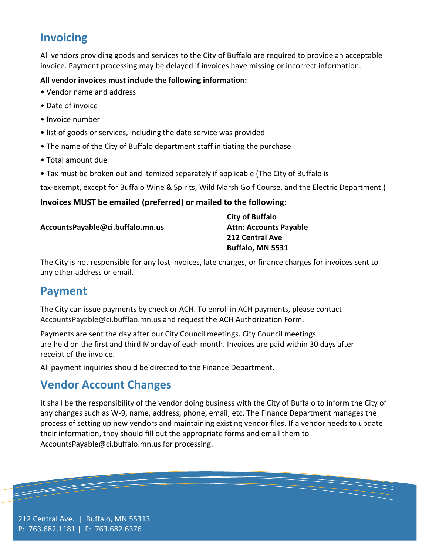## **Invoicing**

All vendors providing goods and services to the City of Buffalo are required to provide an acceptable invoice. Payment processing may be delayed if invoices have missing or incorrect information.

#### **All vendor invoices must include the following information:**

- Vendor name and address
- Date of invoice
- Invoice number
- list of goods or services, including the date service was provided
- The name of the City of Buffalo department staff initiating the purchase
- Total amount due
- Tax must be broken out and itemized separately if applicable (The City of Buffalo is

tax-exempt, except for Buffalo Wine & Spirits, Wild Marsh Golf Course, and the Electric Department.)

#### **Invoices MUST be emailed (preferred) or mailed to the following:**

**AccountsPayable@ci.buffalo.mn.us**

**City of Buffalo Attn: Accounts Payable 212 Central Ave Buffalo, MN 5531**

The City is not responsible for any lost invoices, late charges, or finance charges for invoices sent to any other address or email.

## **Payment**

The City can issue payments by check or ACH. To enroll in ACH payments, please contact AccountsPayable@ci.bufflao.mn.us and request the ACH Authorization Form.

Payments are sent the day after our City Council meetings. City Council meetings are held on the first and third Monday of each month. Invoices are paid within 30 days after receipt of the invoice.

All payment inquiries should be directed to the Finance Department.

## **Vendor Account Changes**

It shall be the responsibility of the vendor doing business with the City of Buffalo to inform the City of any changes such as W-9, name, address, phone, email, etc. The Finance Department manages the process of setting up new vendors and maintaining existing vendor files. If a vendor needs to update their information, they should fill out the appropriate forms and email them to AccountsPayable@ci.buffalo.mn.us for processing.